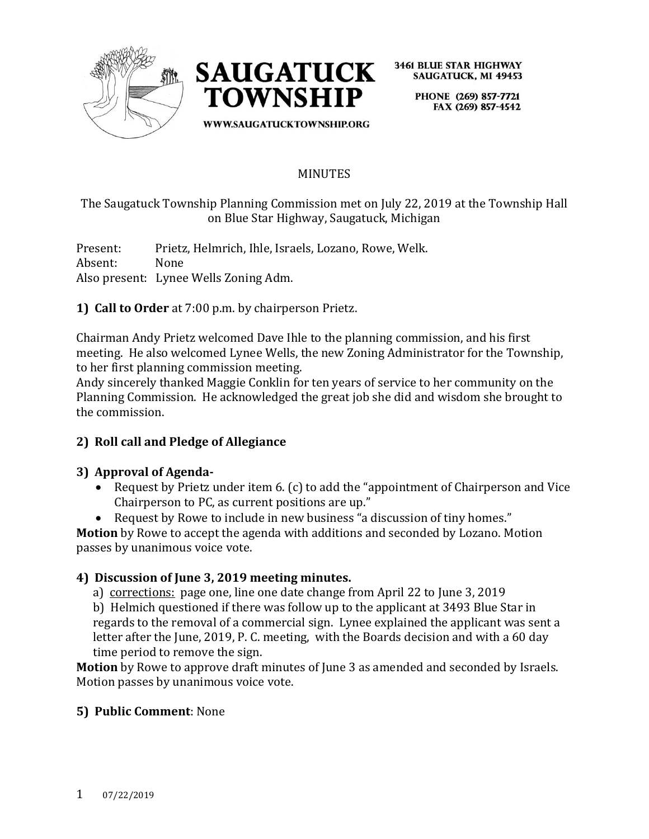



> PHONE (269) 857-7721 FAX (269) 857-4542

WWW.SAUGATUCKTOWNSHIP.ORG

### **MINUTES**

The Saugatuck Township Planning Commission met on July 22, 2019 at the Township Hall on Blue Star Highway, Saugatuck, Michigan

Present: Prietz, Helmrich, Ihle, Israels, Lozano, Rowe, Welk. Absent: None Also present: Lynee Wells Zoning Adm.

**1) Call to Order** at 7:00 p.m. by chairperson Prietz.

Chairman Andy Prietz welcomed Dave Ihle to the planning commission, and his first meeting. He also welcomed Lynee Wells, the new Zoning Administrator for the Township, to her first planning commission meeting.

Andy sincerely thanked Maggie Conklin for ten years of service to her community on the Planning Commission. He acknowledged the great job she did and wisdom she brought to the commission.

### **2) Roll call and Pledge of Allegiance**

### **3) Approval of Agenda-**

- Request by Prietz under item 6. (c) to add the "appointment of Chairperson and Vice Chairperson to PC, as current positions are up."
- Request by Rowe to include in new business "a discussion of tiny homes."

**Motion** by Rowe to accept the agenda with additions and seconded by Lozano. Motion passes by unanimous voice vote.

### **4) Discussion of June 3, 2019 meeting minutes.**

a) corrections: page one, line one date change from April 22 to June 3, 2019

 b) Helmich questioned if there was follow up to the applicant at 3493 Blue Star in regards to the removal of a commercial sign. Lynee explained the applicant was sent a letter after the June, 2019, P. C. meeting, with the Boards decision and with a 60 day time period to remove the sign.

**Motion** by Rowe to approve draft minutes of June 3 as amended and seconded by Israels. Motion passes by unanimous voice vote.

### **5) Public Comment**: None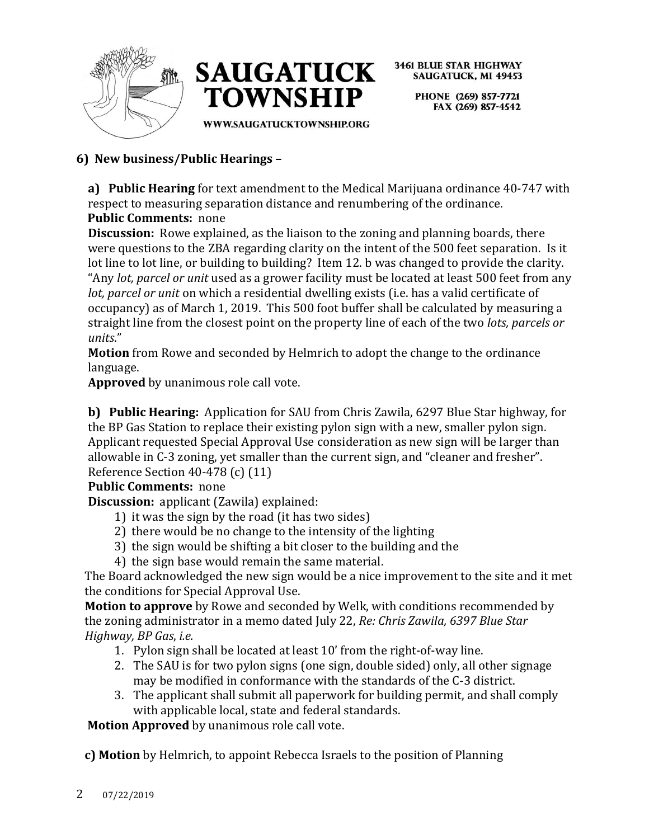



> PHONE (269) 857-7721 FAX (269) 857-4542

WWW.SAUGATUCKTOWNSHIP.ORG

# **6) New business/Public Hearings –**

**a) Public Hearing** for text amendment to the Medical Marijuana ordinance 40-747 with respect to measuring separation distance and renumbering of the ordinance.

# **Public Comments:** none

**Discussion:** Rowe explained, as the liaison to the zoning and planning boards, there were questions to the ZBA regarding clarity on the intent of the 500 feet separation. Is it lot line to lot line, or building to building? Item 12. b was changed to provide the clarity. "Any *lot, parcel or unit* used as a grower facility must be located at least 500 feet from any *lot, parcel or unit* on which a residential dwelling exists (i.e. has a valid certificate of occupancy) as of March 1, 2019. This 500 foot buffer shall be calculated by measuring a straight line from the closest point on the property line of each of the two *lots, parcels or units*."

**Motion** from Rowe and seconded by Helmrich to adopt the change to the ordinance language.

**Approved** by unanimous role call vote.

**b) Public Hearing:** Application for SAU from Chris Zawila, 6297 Blue Star highway, for the BP Gas Station to replace their existing pylon sign with a new, smaller pylon sign. Applicant requested Special Approval Use consideration as new sign will be larger than allowable in C-3 zoning, yet smaller than the current sign, and "cleaner and fresher". Reference Section 40-478 (c) (11)

### **Public Comments:** none

**Discussion:** applicant (Zawila) explained:

- 1) it was the sign by the road (it has two sides)
- 2) there would be no change to the intensity of the lighting
- 3) the sign would be shifting a bit closer to the building and the
- 4) the sign base would remain the same material.

The Board acknowledged the new sign would be a nice improvement to the site and it met the conditions for Special Approval Use.

**Motion to approve** by Rowe and seconded by Welk, with conditions recommended by the zoning administrator in a memo dated July 22, *Re: Chris Zawila, 6397 Blue Star Highway, BP Gas*, *i.e.*

- 1. Pylon sign shall be located at least 10' from the right-of-way line.
- 2. The SAU is for two pylon signs (one sign, double sided) only, all other signage may be modified in conformance with the standards of the C-3 district.
- 3. The applicant shall submit all paperwork for building permit, and shall comply with applicable local, state and federal standards.

 **Motion Approved** by unanimous role call vote.

 **c) Motion** by Helmrich, to appoint Rebecca Israels to the position of Planning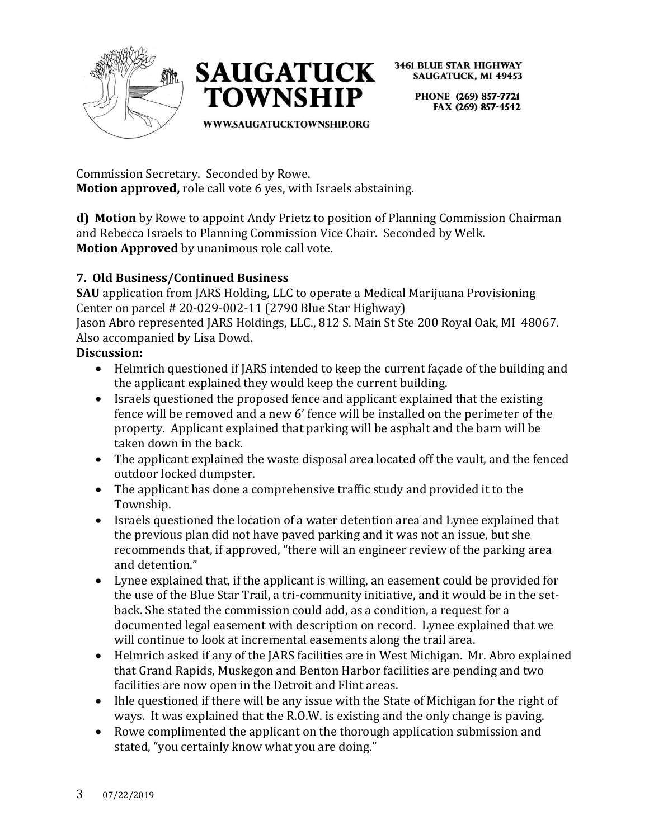



> PHONE (269) 857-7721 FAX (269) 857-4542

WWW.SAUGATUCKTOWNSHIP.ORG

Commission Secretary. Seconded by Rowe. **Motion approved,** role call vote 6 yes, with Israels abstaining.

**d) Motion** by Rowe to appoint Andy Prietz to position of Planning Commission Chairman and Rebecca Israels to Planning Commission Vice Chair. Seconded by Welk. **Motion Approved** by unanimous role call vote.

# **7. Old Business/Continued Business**

**SAU** application from JARS Holding, LLC to operate a Medical Marijuana Provisioning Center on parcel # 20-029-002-11 (2790 Blue Star Highway)

Jason Abro represented JARS Holdings, LLC., 812 S. Main St Ste 200 Royal Oak, MI 48067. Also accompanied by Lisa Dowd.

### **Discussion:**

- Helmrich questioned if JARS intended to keep the current façade of the building and the applicant explained they would keep the current building.
- Israels questioned the proposed fence and applicant explained that the existing fence will be removed and a new 6' fence will be installed on the perimeter of the property. Applicant explained that parking will be asphalt and the barn will be taken down in the back.
- The applicant explained the waste disposal area located off the vault, and the fenced outdoor locked dumpster.
- The applicant has done a comprehensive traffic study and provided it to the Township.
- Israels questioned the location of a water detention area and Lynee explained that the previous plan did not have paved parking and it was not an issue, but she recommends that, if approved, "there will an engineer review of the parking area and detention."
- Lynee explained that, if the applicant is willing, an easement could be provided for the use of the Blue Star Trail, a tri-community initiative, and it would be in the setback. She stated the commission could add, as a condition, a request for a documented legal easement with description on record. Lynee explained that we will continue to look at incremental easements along the trail area.
- Helmrich asked if any of the JARS facilities are in West Michigan. Mr. Abro explained that Grand Rapids, Muskegon and Benton Harbor facilities are pending and two facilities are now open in the Detroit and Flint areas.
- Ihle questioned if there will be any issue with the State of Michigan for the right of ways. It was explained that the R.O.W. is existing and the only change is paving.
- Rowe complimented the applicant on the thorough application submission and stated, "you certainly know what you are doing."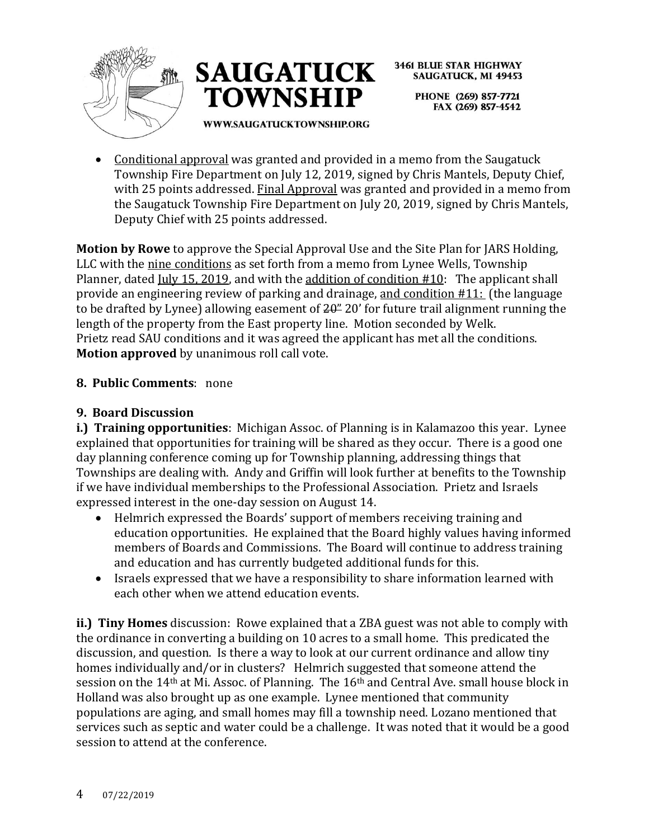



**3461 BLUE STAR HIGHWAY SAUGATUCK, MI 49453** PHONE (269) 857-7721

FAX (269) 857-4542

WWW.SAUGATUCKTOWNSHIP.ORG

• Conditional approval was granted and provided in a memo from the Saugatuck Township Fire Department on July 12, 2019, signed by Chris Mantels, Deputy Chief, with 25 points addressed. Final Approval was granted and provided in a memo from the Saugatuck Township Fire Department on July 20, 2019, signed by Chris Mantels, Deputy Chief with 25 points addressed.

**Motion by Rowe** to approve the Special Approval Use and the Site Plan for JARS Holding, LLC with the nine conditions as set forth from a memo from Lynee Wells, Township Planner, dated July 15, 2019, and with the addition of condition #10: The applicant shall provide an engineering review of parking and drainage, and condition #11: (the language to be drafted by Lynee) allowing easement of  $20<sup>2</sup>$  20' for future trail alignment running the length of the property from the East property line. Motion seconded by Welk. Prietz read SAU conditions and it was agreed the applicant has met all the conditions. **Motion approved** by unanimous roll call vote.

### **8. Public Comments**: none

## **9. Board Discussion**

**i.) Training opportunities**: Michigan Assoc. of Planning is in Kalamazoo this year. Lynee explained that opportunities for training will be shared as they occur. There is a good one day planning conference coming up for Township planning, addressing things that Townships are dealing with. Andy and Griffin will look further at benefits to the Township if we have individual memberships to the Professional Association. Prietz and Israels expressed interest in the one-day session on August 14.

- Helmrich expressed the Boards' support of members receiving training and education opportunities. He explained that the Board highly values having informed members of Boards and Commissions. The Board will continue to address training and education and has currently budgeted additional funds for this.
- Israels expressed that we have a responsibility to share information learned with each other when we attend education events.

**ii.) Tiny Homes** discussion: Rowe explained that a ZBA guest was not able to comply with the ordinance in converting a building on 10 acres to a small home. This predicated the discussion, and question. Is there a way to look at our current ordinance and allow tiny homes individually and/or in clusters? Helmrich suggested that someone attend the session on the 14th at Mi. Assoc. of Planning. The 16th and Central Ave. small house block in Holland was also brought up as one example. Lynee mentioned that community populations are aging, and small homes may fill a township need. Lozano mentioned that services such as septic and water could be a challenge. It was noted that it would be a good session to attend at the conference.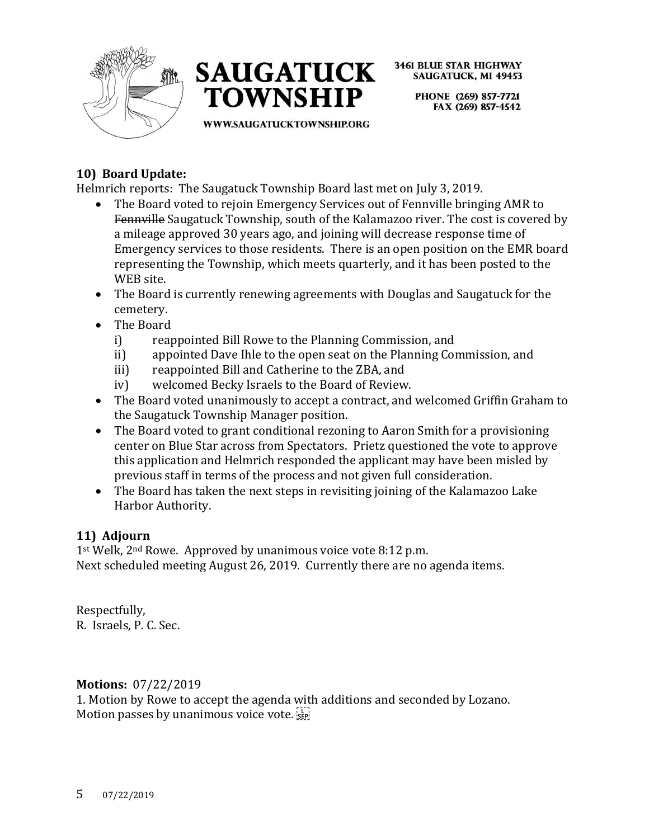



> PHONE (269) 857-7721 FAX (269) 857-4542

WWW.SAUGATUCKTOWNSHIP.ORG

# **10) Board Update:**

Helmrich reports: The Saugatuck Township Board last met on July 3, 2019.

- The Board voted to rejoin Emergency Services out of Fennyille bringing AMR to Fennville Saugatuck Township, south of the Kalamazoo river. The cost is covered by a mileage approved 30 years ago, and joining will decrease response time of Emergency services to those residents. There is an open position on the EMR board representing the Township, which meets quarterly, and it has been posted to the WEB site.
- The Board is currently renewing agreements with Douglas and Saugatuck for the cemetery.
- The Board
	- i) reappointed Bill Rowe to the Planning Commission, and
	- ii) appointed Dave Ihle to the open seat on the Planning Commission, and
	- iii) reappointed Bill and Catherine to the ZBA, and
	- iv) welcomed Becky Israels to the Board of Review.
- The Board voted unanimously to accept a contract, and welcomed Griffin Graham to the Saugatuck Township Manager position.
- The Board voted to grant conditional rezoning to Aaron Smith for a provisioning center on Blue Star across from Spectators. Prietz questioned the vote to approve this application and Helmrich responded the applicant may have been misled by previous staff in terms of the process and not given full consideration.
- The Board has taken the next steps in revisiting joining of the Kalamazoo Lake Harbor Authority.

### **11) Adjourn**

1<sup>st</sup> Welk, 2<sup>nd</sup> Rowe. Approved by unanimous voice vote 8:12 p.m. Next scheduled meeting August 26, 2019. Currently there are no agenda items.

Respectfully, R. Israels, P. C. Sec.

### **Motions:** 07/22/2019

1. Motion by Rowe to accept the agenda with additions and seconded by Lozano. Motion passes by unanimous voice vote.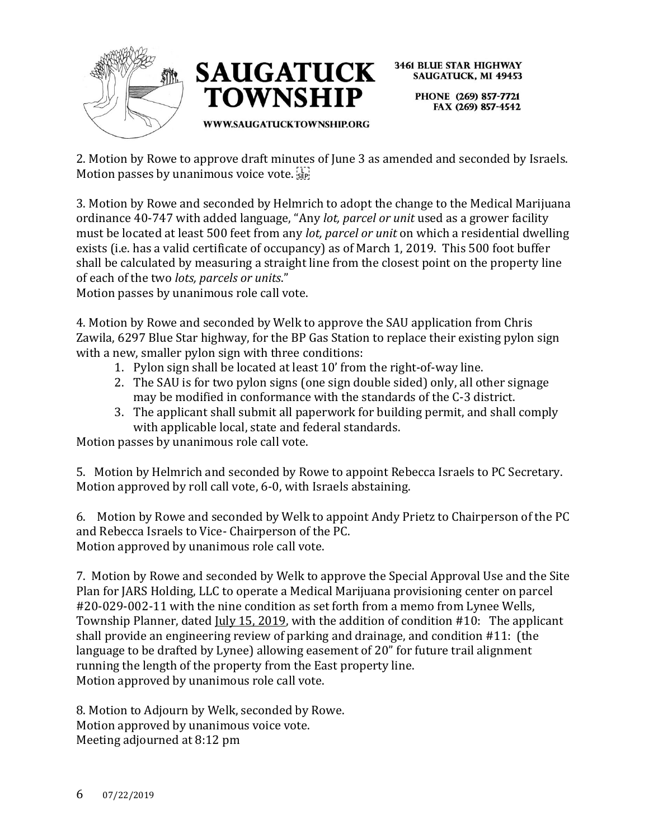



> PHONE (269) 857-7721 FAX (269) 857-4542

2. Motion by Rowe to approve draft minutes of June 3 as amended and seconded by Israels. Motion passes by unanimous voice vote.

3. Motion by Rowe and seconded by Helmrich to adopt the change to the Medical Marijuana ordinance 40-747 with added language, "Any *lot, parcel or unit* used as a grower facility must be located at least 500 feet from any *lot, parcel or unit* on which a residential dwelling exists (i.e. has a valid certificate of occupancy) as of March 1, 2019. This 500 foot buffer shall be calculated by measuring a straight line from the closest point on the property line of each of the two *lots, parcels or units*."

Motion passes by unanimous role call vote.

4. Motion by Rowe and seconded by Welk to approve the SAU application from Chris Zawila, 6297 Blue Star highway, for the BP Gas Station to replace their existing pylon sign with a new, smaller pylon sign with three conditions:

- 1. Pylon sign shall be located at least 10' from the right-of-way line.
- 2. The SAU is for two pylon signs (one sign double sided) only, all other signage may be modified in conformance with the standards of the C-3 district.
- 3. The applicant shall submit all paperwork for building permit, and shall comply with applicable local, state and federal standards.

Motion passes by unanimous role call vote.

5. Motion by Helmrich and seconded by Rowe to appoint Rebecca Israels to PC Secretary. Motion approved by roll call vote, 6-0, with Israels abstaining.

6. Motion by Rowe and seconded by Welk to appoint Andy Prietz to Chairperson of the PC and Rebecca Israels to Vice- Chairperson of the PC. Motion approved by unanimous role call vote.

7. Motion by Rowe and seconded by Welk to approve the Special Approval Use and the Site Plan for JARS Holding, LLC to operate a Medical Marijuana provisioning center on parcel #20-029-002-11 with the nine condition as set forth from a memo from Lynee Wells, Township Planner, dated July 15, 2019, with the addition of condition #10: The applicant shall provide an engineering review of parking and drainage, and condition #11: (the language to be drafted by Lynee) allowing easement of 20" for future trail alignment running the length of the property from the East property line. Motion approved by unanimous role call vote.

8. Motion to Adjourn by Welk, seconded by Rowe. Motion approved by unanimous voice vote. Meeting adjourned at 8:12 pm